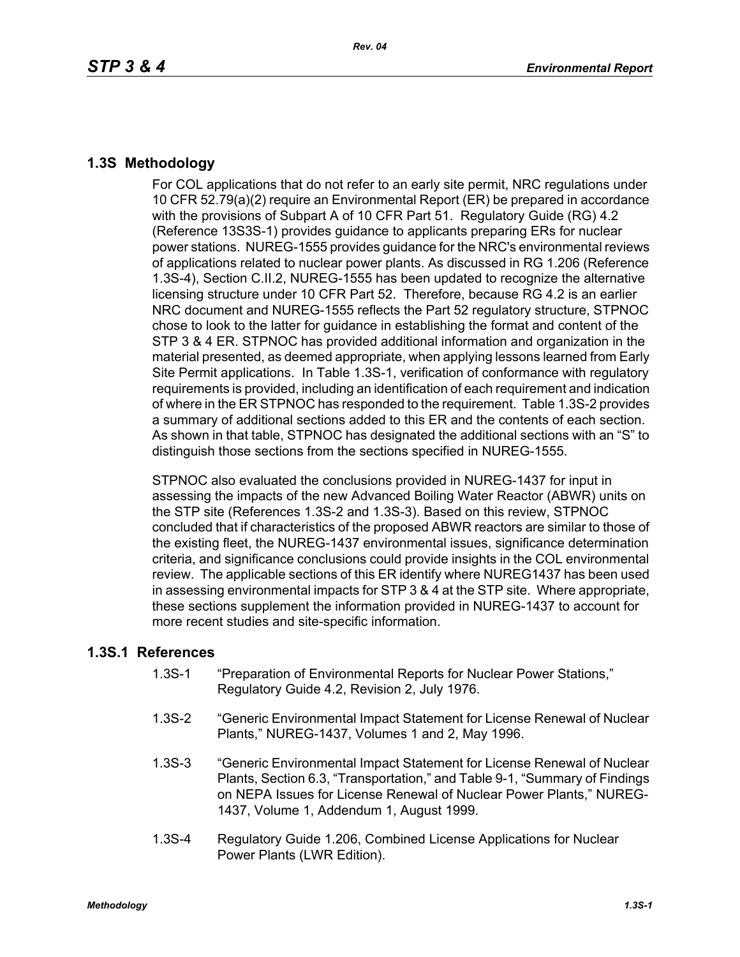## **1.3S Methodology**

For COL applications that do not refer to an early site permit, NRC regulations under 10 CFR 52.79(a)(2) require an Environmental Report (ER) be prepared in accordance with the provisions of Subpart A of 10 CFR Part 51. Regulatory Guide (RG) 4.2 (Reference 13S3S-1) provides guidance to applicants preparing ERs for nuclear power stations. NUREG-1555 provides guidance for the NRC's environmental reviews of applications related to nuclear power plants. As discussed in RG 1.206 (Reference 1.3S-4), Section C.II.2, NUREG-1555 has been updated to recognize the alternative licensing structure under 10 CFR Part 52. Therefore, because RG 4.2 is an earlier NRC document and NUREG-1555 reflects the Part 52 regulatory structure, STPNOC chose to look to the latter for guidance in establishing the format and content of the STP 3 & 4 ER. STPNOC has provided additional information and organization in the material presented, as deemed appropriate, when applying lessons learned from Early Site Permit applications. In Table 1.3S-1, verification of conformance with regulatory requirements is provided, including an identification of each requirement and indication of where in the ER STPNOC has responded to the requirement. Table 1.3S-2 provides a summary of additional sections added to this ER and the contents of each section. As shown in that table, STPNOC has designated the additional sections with an "S" to distinguish those sections from the sections specified in NUREG-1555.

STPNOC also evaluated the conclusions provided in NUREG-1437 for input in assessing the impacts of the new Advanced Boiling Water Reactor (ABWR) units on the STP site (References 1.3S-2 and 1.3S-3). Based on this review, STPNOC concluded that if characteristics of the proposed ABWR reactors are similar to those of the existing fleet, the NUREG-1437 environmental issues, significance determination criteria, and significance conclusions could provide insights in the COL environmental review. The applicable sections of this ER identify where NUREG1437 has been used in assessing environmental impacts for STP 3 & 4 at the STP site. Where appropriate, these sections supplement the information provided in NUREG-1437 to account for more recent studies and site-specific information.

## **1.3S.1 References**

- 1.3S-1 "Preparation of Environmental Reports for Nuclear Power Stations," Regulatory Guide 4.2, Revision 2, July 1976.
- 1.3S-2 "Generic Environmental Impact Statement for License Renewal of Nuclear Plants," NUREG-1437, Volumes 1 and 2, May 1996.
- 1.3S-3 "Generic Environmental Impact Statement for License Renewal of Nuclear Plants, Section 6.3, "Transportation," and Table 9-1, "Summary of Findings on NEPA Issues for License Renewal of Nuclear Power Plants," NUREG-1437, Volume 1, Addendum 1, August 1999.
- 1.3S-4 Regulatory Guide 1.206, Combined License Applications for Nuclear Power Plants (LWR Edition).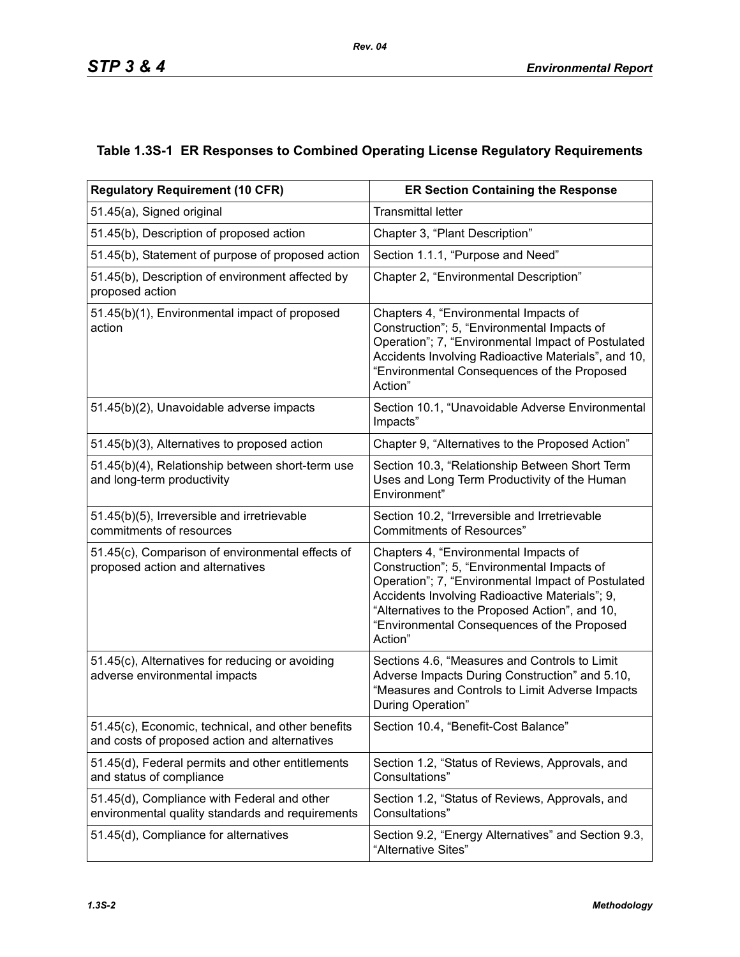## **Table 1.3S-1 ER Responses to Combined Operating License Regulatory Requirements**

| <b>Regulatory Requirement (10 CFR)</b>                                                             | <b>ER Section Containing the Response</b>                                                                                                                                                                                                                                                                |  |  |  |
|----------------------------------------------------------------------------------------------------|----------------------------------------------------------------------------------------------------------------------------------------------------------------------------------------------------------------------------------------------------------------------------------------------------------|--|--|--|
| 51.45(a), Signed original                                                                          | <b>Transmittal letter</b>                                                                                                                                                                                                                                                                                |  |  |  |
| 51.45(b), Description of proposed action                                                           | Chapter 3, "Plant Description"                                                                                                                                                                                                                                                                           |  |  |  |
| 51.45(b), Statement of purpose of proposed action                                                  | Section 1.1.1, "Purpose and Need"                                                                                                                                                                                                                                                                        |  |  |  |
| 51.45(b), Description of environment affected by<br>proposed action                                | Chapter 2, "Environmental Description"                                                                                                                                                                                                                                                                   |  |  |  |
| 51.45(b)(1), Environmental impact of proposed<br>action                                            | Chapters 4, "Environmental Impacts of<br>Construction"; 5, "Environmental Impacts of<br>Operation"; 7, "Environmental Impact of Postulated<br>Accidents Involving Radioactive Materials", and 10,<br>"Environmental Consequences of the Proposed<br>Action"                                              |  |  |  |
| 51.45(b)(2), Unavoidable adverse impacts                                                           | Section 10.1, "Unavoidable Adverse Environmental<br>Impacts"                                                                                                                                                                                                                                             |  |  |  |
| 51.45(b)(3), Alternatives to proposed action                                                       | Chapter 9, "Alternatives to the Proposed Action"                                                                                                                                                                                                                                                         |  |  |  |
| 51.45(b)(4), Relationship between short-term use<br>and long-term productivity                     | Section 10.3, "Relationship Between Short Term<br>Uses and Long Term Productivity of the Human<br>Environment"                                                                                                                                                                                           |  |  |  |
| 51.45(b)(5), Irreversible and irretrievable<br>commitments of resources                            | Section 10.2, "Irreversible and Irretrievable<br><b>Commitments of Resources"</b>                                                                                                                                                                                                                        |  |  |  |
| 51.45(c), Comparison of environmental effects of<br>proposed action and alternatives               | Chapters 4, "Environmental Impacts of<br>Construction"; 5, "Environmental Impacts of<br>Operation"; 7, "Environmental Impact of Postulated<br>Accidents Involving Radioactive Materials"; 9,<br>"Alternatives to the Proposed Action", and 10,<br>"Environmental Consequences of the Proposed<br>Action" |  |  |  |
| 51.45(c), Alternatives for reducing or avoiding<br>adverse environmental impacts                   | Sections 4.6, "Measures and Controls to Limit<br>Adverse Impacts During Construction" and 5.10,<br>"Measures and Controls to Limit Adverse Impacts<br>During Operation"                                                                                                                                  |  |  |  |
| 51.45(c), Economic, technical, and other benefits<br>and costs of proposed action and alternatives | Section 10.4, "Benefit-Cost Balance"                                                                                                                                                                                                                                                                     |  |  |  |
| 51.45(d), Federal permits and other entitlements<br>and status of compliance                       | Section 1.2, "Status of Reviews, Approvals, and<br>Consultations"                                                                                                                                                                                                                                        |  |  |  |
| 51.45(d), Compliance with Federal and other<br>environmental quality standards and requirements    | Section 1.2, "Status of Reviews, Approvals, and<br>Consultations"                                                                                                                                                                                                                                        |  |  |  |
| 51.45(d), Compliance for alternatives                                                              | Section 9.2, "Energy Alternatives" and Section 9.3,<br>"Alternative Sites"                                                                                                                                                                                                                               |  |  |  |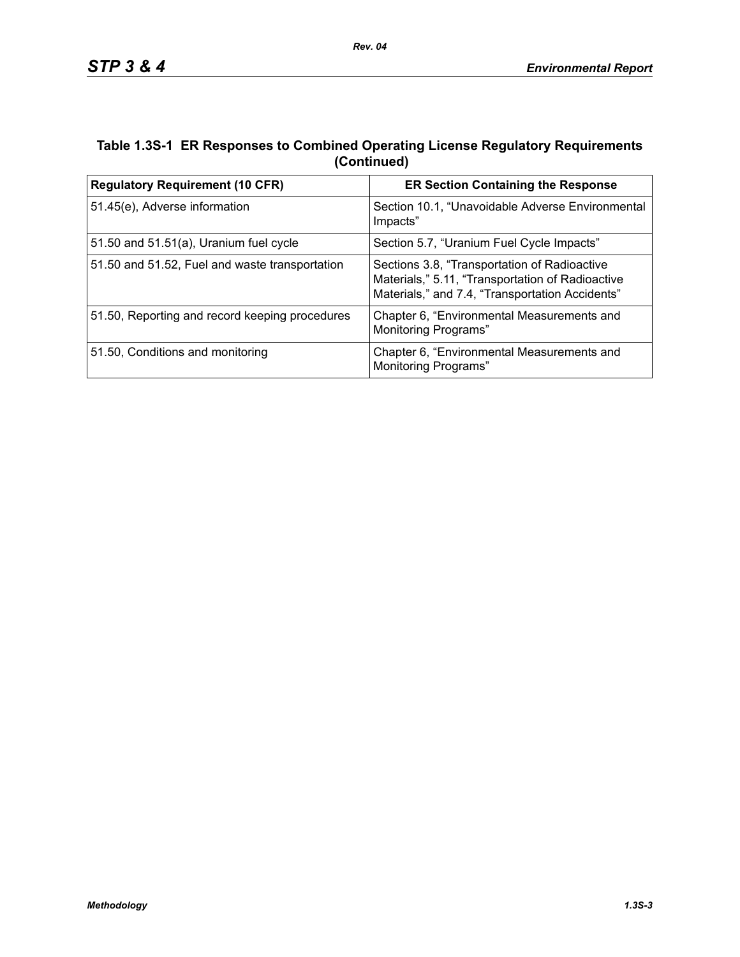## **Table 1.3S-1 ER Responses to Combined Operating License Regulatory Requirements (Continued)**

| <b>Regulatory Requirement (10 CFR)</b>         | <b>ER Section Containing the Response</b>                                                                                                           |  |  |
|------------------------------------------------|-----------------------------------------------------------------------------------------------------------------------------------------------------|--|--|
| 51.45(e), Adverse information                  | Section 10.1, "Unavoidable Adverse Environmental<br>Impacts"                                                                                        |  |  |
| 51.50 and $51.51(a)$ , Uranium fuel cycle      | Section 5.7, "Uranium Fuel Cycle Impacts"                                                                                                           |  |  |
| 51.50 and 51.52, Fuel and waste transportation | Sections 3.8, "Transportation of Radioactive<br>Materials," 5.11, "Transportation of Radioactive<br>Materials," and 7.4, "Transportation Accidents" |  |  |
| 51.50, Reporting and record keeping procedures | Chapter 6, "Environmental Measurements and<br><b>Monitoring Programs"</b>                                                                           |  |  |
| 51.50, Conditions and monitoring               | Chapter 6, "Environmental Measurements and<br>Monitoring Programs"                                                                                  |  |  |